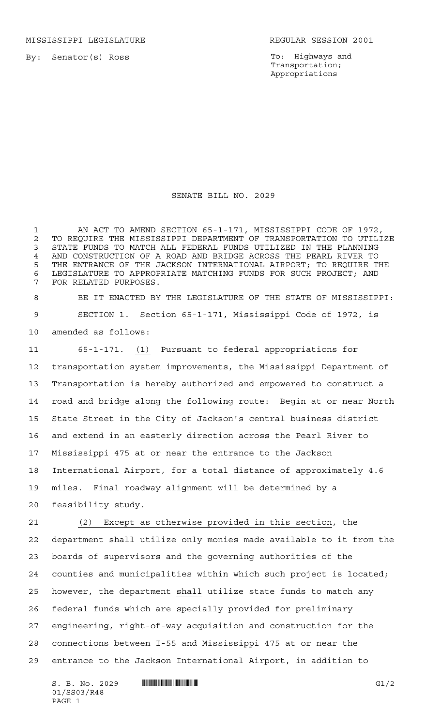MISSISSIPPI LEGISLATURE **REGULAR SESSION 2001** 

By: Senator(s) Ross

To: Highways and Transportation; Appropriations

SENATE BILL NO. 2029

 AN ACT TO AMEND SECTION 65-1-171, MISSISSIPPI CODE OF 1972, 2 TO REQUIRE THE MISSISSIPPI DEPARTMENT OF TRANSPORTATION TO UTILIZE<br>3 STATE FUNDS TO MATCH ALL FEDERAL FUNDS UTILIZED IN THE PLANNING STATE FUNDS TO MATCH ALL FEDERAL FUNDS UTILIZED IN THE PLANNING AND CONSTRUCTION OF A ROAD AND BRIDGE ACROSS THE PEARL RIVER TO THE ENTRANCE OF THE JACKSON INTERNATIONAL AIRPORT; TO REQUIRE THE LEGISLATURE TO APPROPRIATE MATCHING FUNDS FOR SUCH PROJECT; AND FOR RELATED PURPOSES.

 BE IT ENACTED BY THE LEGISLATURE OF THE STATE OF MISSISSIPPI: SECTION 1. Section 65-1-171, Mississippi Code of 1972, is amended as follows:

 65-1-171. (1) Pursuant to federal appropriations for transportation system improvements, the Mississippi Department of Transportation is hereby authorized and empowered to construct a road and bridge along the following route: Begin at or near North State Street in the City of Jackson's central business district and extend in an easterly direction across the Pearl River to Mississippi 475 at or near the entrance to the Jackson International Airport, for a total distance of approximately 4.6 miles. Final roadway alignment will be determined by a feasibility study.

 (2) Except as otherwise provided in this section, the department shall utilize only monies made available to it from the boards of supervisors and the governing authorities of the counties and municipalities within which such project is located; however, the department shall utilize state funds to match any federal funds which are specially provided for preliminary engineering, right-of-way acquisition and construction for the connections between I-55 and Mississippi 475 at or near the entrance to the Jackson International Airport, in addition to

 $S. B. No. 2029$  **INNIFICANTILA FOR ALL AND SET ASSESSED ASSOCIATE**  $GI/2$ 01/SS03/R48 PAGE 1